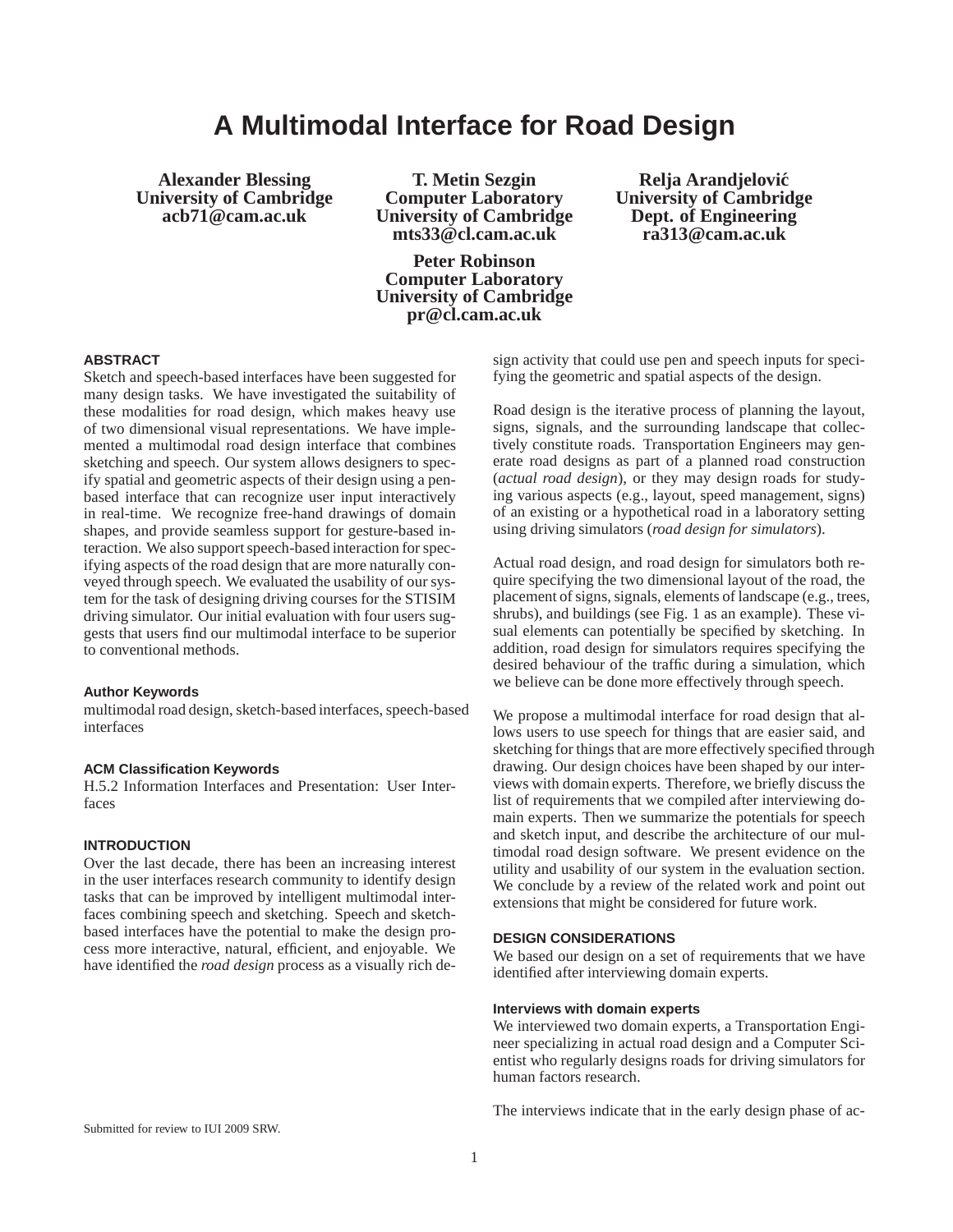# **A Multimodal Interface for Road Design**

**Alexander Blessing University of Cambridge acb71@cam.ac.uk**

**T. Metin Sezgin Computer Laboratory University of Cambridge mts33@cl.cam.ac.uk**

**Peter Robinson Computer Laboratory University of Cambridge pr@cl.cam.ac.uk**

**Relja Arandjelovic´ University of Cambridge Dept. of Engineering ra313@cam.ac.uk**

# **ABSTRACT**

Sketch and speech-based interfaces have been suggested for many design tasks. We have investigated the suitability of these modalities for road design, which makes heavy use of two dimensional visual representations. We have implemented a multimodal road design interface that combines sketching and speech. Our system allows designers to specify spatial and geometric aspects of their design using a penbased interface that can recognize user input interactively in real-time. We recognize free-hand drawings of domain shapes, and provide seamless support for gesture-based interaction. We also support speech-based interaction for specifying aspects of the road design that are more naturally conveyed through speech. We evaluated the usability of our system for the task of designing driving courses for the STISIM driving simulator. Our initial evaluation with four users suggests that users find our multimodal interface to be superior to conventional methods.

# **Author Keywords**

multimodal road design, sketch-based interfaces, speech-based interfaces

## **ACM Classification Keywords**

H.5.2 Information Interfaces and Presentation: User Interfaces

## **INTRODUCTION**

Over the last decade, there has been an increasing interest in the user interfaces research community to identify design tasks that can be improved by intelligent multimodal interfaces combining speech and sketching. Speech and sketchbased interfaces have the potential to make the design process more interactive, natural, efficient, and enjoyable. We have identified the *road design* process as a visually rich de-

sign activity that could use pen and speech inputs for specifying the geometric and spatial aspects of the design.

Road design is the iterative process of planning the layout, signs, signals, and the surrounding landscape that collectively constitute roads. Transportation Engineers may generate road designs as part of a planned road construction (*actual road design*), or they may design roads for studying various aspects (e.g., layout, speed management, signs) of an existing or a hypothetical road in a laboratory setting using driving simulators (*road design for simulators*).

Actual road design, and road design for simulators both require specifying the two dimensional layout of the road, the placement of signs, signals, elements of landscape (e.g., trees, shrubs), and buildings (see Fig. 1 as an example). These visual elements can potentially be specified by sketching. In addition, road design for simulators requires specifying the desired behaviour of the traffic during a simulation, which we believe can be done more effectively through speech.

We propose a multimodal interface for road design that allows users to use speech for things that are easier said, and sketching for things that are more effectively specified through drawing. Our design choices have been shaped by our interviews with domain experts. Therefore, we briefly discuss the list of requirements that we compiled after interviewing domain experts. Then we summarize the potentials for speech and sketch input, and describe the architecture of our multimodal road design software. We present evidence on the utility and usability of our system in the evaluation section. We conclude by a review of the related work and point out extensions that might be considered for future work.

## **DESIGN CONSIDERATIONS**

We based our design on a set of requirements that we have identified after interviewing domain experts.

## **Interviews with domain experts**

We interviewed two domain experts, a Transportation Engineer specializing in actual road design and a Computer Scientist who regularly designs roads for driving simulators for human factors research.

The interviews indicate that in the early design phase of ac-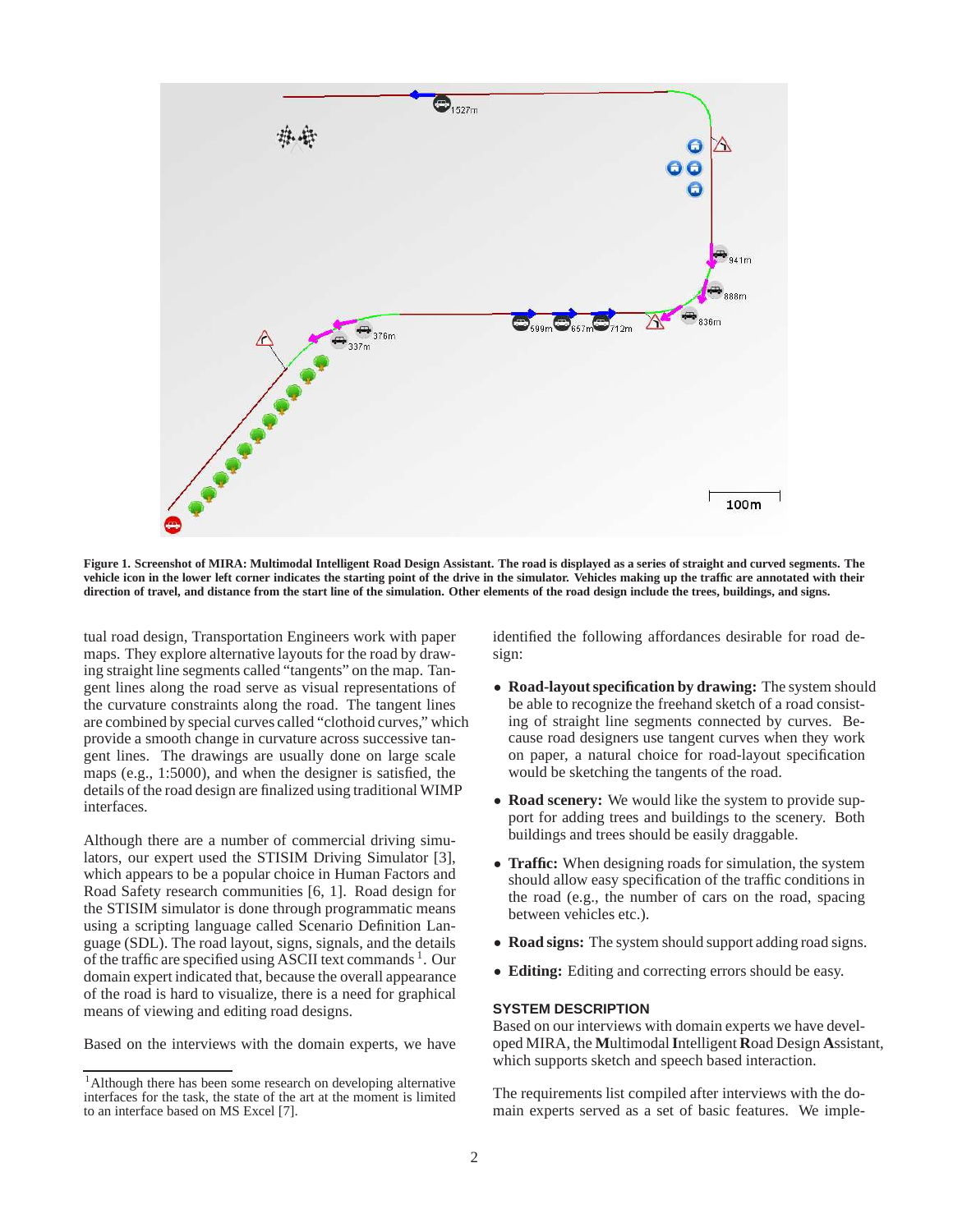

**Figure 1. Screenshot of MIRA: Multimodal Intelligent Road Design Assistant. The road is displayed as a series of straight and curved segments. The vehicle icon in the lower left corner indicates the starting point of the drive in the simulator. Vehicles making up the traffic are annotated with their direction of travel, and distance from the start line of the simulation. Other elements of the road design include the trees, buildings, and signs.**

tual road design, Transportation Engineers work with paper maps. They explore alternative layouts for the road by drawing straight line segments called "tangents" on the map. Tangent lines along the road serve as visual representations of the curvature constraints along the road. The tangent lines are combined by special curves called "clothoid curves," which provide a smooth change in curvature across successive tangent lines. The drawings are usually done on large scale maps (e.g., 1:5000), and when the designer is satisfied, the details of the road design are finalized using traditional WIMP interfaces.

Although there are a number of commercial driving simulators, our expert used the STISIM Driving Simulator [3], which appears to be a popular choice in Human Factors and Road Safety research communities [6, 1]. Road design for the STISIM simulator is done through programmatic means using a scripting language called Scenario Definition Language (SDL). The road layout, signs, signals, and the details of the traffic are specified using ASCII text commands<sup>1</sup>. Our domain expert indicated that, because the overall appearance of the road is hard to visualize, there is a need for graphical means of viewing and editing road designs.

Based on the interviews with the domain experts, we have

identified the following affordances desirable for road design:

- **Road-layout specification by drawing:** The system should be able to recognize the freehand sketch of a road consisting of straight line segments connected by curves. Because road designers use tangent curves when they work on paper, a natural choice for road-layout specification would be sketching the tangents of the road.
- **Road scenery:** We would like the system to provide support for adding trees and buildings to the scenery. Both buildings and trees should be easily draggable.
- **Traffic:** When designing roads for simulation, the system should allow easy specification of the traffic conditions in the road (e.g., the number of cars on the road, spacing between vehicles etc.).
- **Road signs:** The system should support adding road signs.
- **Editing:** Editing and correcting errors should be easy.

# **SYSTEM DESCRIPTION**

Based on our interviews with domain experts we have developed MIRA, the **M**ultimodal**I**ntelligent **R**oad Design **A**ssistant, which supports sketch and speech based interaction.

The requirements list compiled after interviews with the domain experts served as a set of basic features. We imple-

<sup>&</sup>lt;sup>1</sup>Although there has been some research on developing alternative interfaces for the task, the state of the art at the moment is limited to an interface based on MS Excel [7].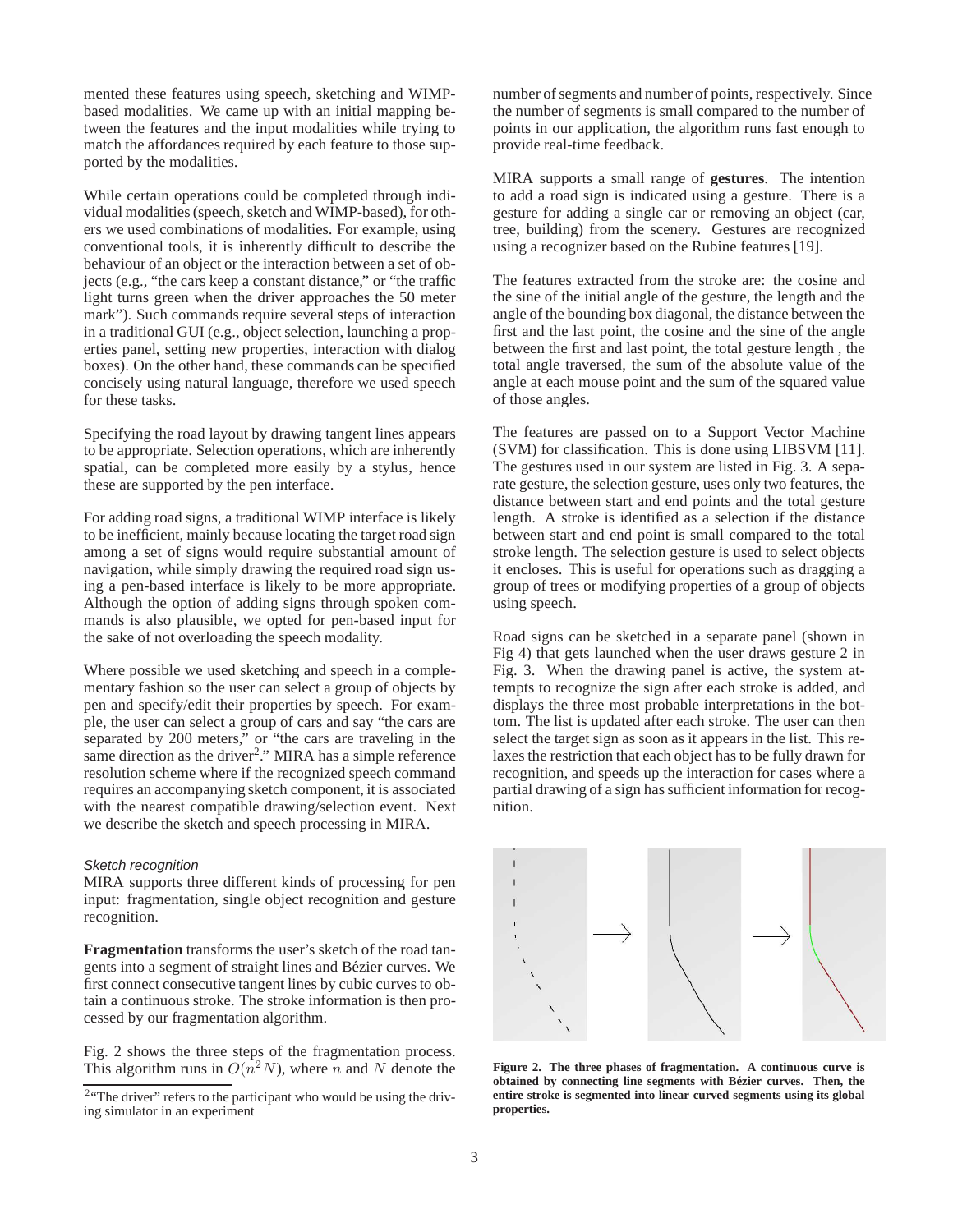mented these features using speech, sketching and WIMPbased modalities. We came up with an initial mapping between the features and the input modalities while trying to match the affordances required by each feature to those supported by the modalities.

While certain operations could be completed through individual modalities (speech, sketch and WIMP-based), for others we used combinations of modalities. For example, using conventional tools, it is inherently difficult to describe the behaviour of an object or the interaction between a set of objects (e.g., "the cars keep a constant distance," or "the traffic light turns green when the driver approaches the 50 meter mark"). Such commands require several steps of interaction in a traditional GUI (e.g., object selection, launching a properties panel, setting new properties, interaction with dialog boxes). On the other hand, these commands can be specified concisely using natural language, therefore we used speech for these tasks.

Specifying the road layout by drawing tangent lines appears to be appropriate. Selection operations, which are inherently spatial, can be completed more easily by a stylus, hence these are supported by the pen interface.

For adding road signs, a traditional WIMP interface is likely to be inefficient, mainly because locating the target road sign among a set of signs would require substantial amount of navigation, while simply drawing the required road sign using a pen-based interface is likely to be more appropriate. Although the option of adding signs through spoken commands is also plausible, we opted for pen-based input for the sake of not overloading the speech modality.

Where possible we used sketching and speech in a complementary fashion so the user can select a group of objects by pen and specify/edit their properties by speech. For example, the user can select a group of cars and say "the cars are separated by 200 meters," or "the cars are traveling in the same direction as the driver<sup>2</sup>." MIRA has a simple reference resolution scheme where if the recognized speech command requires an accompanying sketch component, it is associated with the nearest compatible drawing/selection event. Next we describe the sketch and speech processing in MIRA.

## Sketch recognition

MIRA supports three different kinds of processing for pen input: fragmentation, single object recognition and gesture recognition.

**Fragmentation** transforms the user's sketch of the road tangents into a segment of straight lines and Bézier curves. We first connect consecutive tangent lines by cubic curves to obtain a continuous stroke. The stroke information is then processed by our fragmentation algorithm.

Fig. 2 shows the three steps of the fragmentation process. This algorithm runs in  $O(n^2N)$ , where n and N denote the

number of segments and number of points, respectively. Since the number of segments is small compared to the number of points in our application, the algorithm runs fast enough to provide real-time feedback.

MIRA supports a small range of **gestures**. The intention to add a road sign is indicated using a gesture. There is a gesture for adding a single car or removing an object (car, tree, building) from the scenery. Gestures are recognized using a recognizer based on the Rubine features [19].

The features extracted from the stroke are: the cosine and the sine of the initial angle of the gesture, the length and the angle of the bounding box diagonal, the distance between the first and the last point, the cosine and the sine of the angle between the first and last point, the total gesture length , the total angle traversed, the sum of the absolute value of the angle at each mouse point and the sum of the squared value of those angles.

The features are passed on to a Support Vector Machine (SVM) for classification. This is done using LIBSVM [11]. The gestures used in our system are listed in Fig. 3. A separate gesture, the selection gesture, uses only two features, the distance between start and end points and the total gesture length. A stroke is identified as a selection if the distance between start and end point is small compared to the total stroke length. The selection gesture is used to select objects it encloses. This is useful for operations such as dragging a group of trees or modifying properties of a group of objects using speech.

Road signs can be sketched in a separate panel (shown in Fig 4) that gets launched when the user draws gesture 2 in Fig. 3. When the drawing panel is active, the system attempts to recognize the sign after each stroke is added, and displays the three most probable interpretations in the bottom. The list is updated after each stroke. The user can then select the target sign as soon as it appears in the list. This relaxes the restriction that each object has to be fully drawn for recognition, and speeds up the interaction for cases where a partial drawing of a sign has sufficient information for recognition.



**Figure 2. The three phases of fragmentation. A continuous curve is obtained by connecting line segments with Bezier curves. Then, the ´ entire stroke is segmented into linear curved segments using its global properties.**

<sup>&</sup>lt;sup>2</sup> "The driver" refers to the participant who would be using the driving simulator in an experiment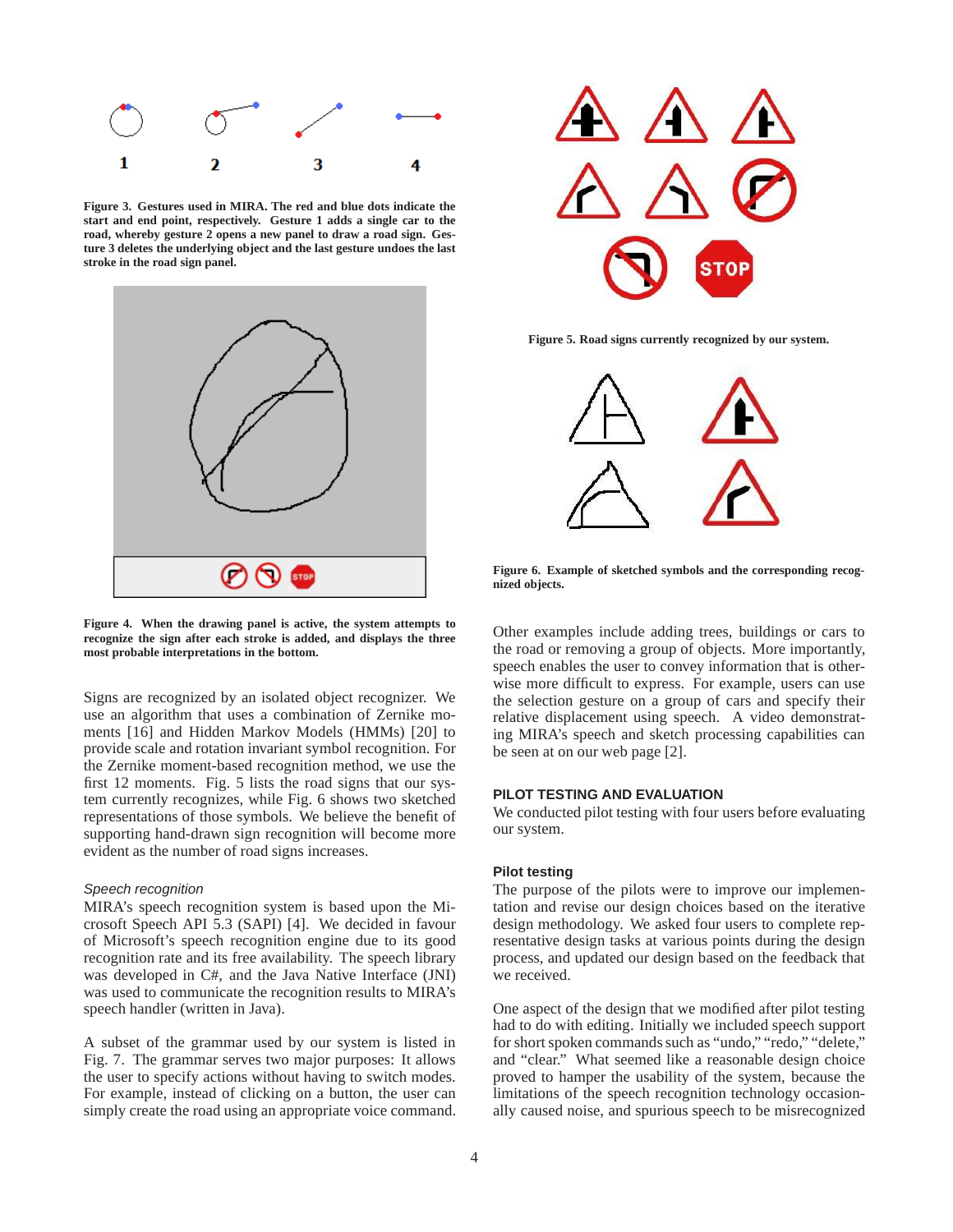

**Figure 3. Gestures used in MIRA. The red and blue dots indicate the start and end point, respectively. Gesture 1 adds a single car to the road, whereby gesture 2 opens a new panel to draw a road sign. Gesture 3 deletes the underlying object and the last gesture undoes the last stroke in the road sign panel.**



**Figure 4. When the drawing panel is active, the system attempts to recognize the sign after each stroke is added, and displays the three most probable interpretations in the bottom.**

Signs are recognized by an isolated object recognizer. We use an algorithm that uses a combination of Zernike moments [16] and Hidden Markov Models (HMMs) [20] to provide scale and rotation invariant symbol recognition. For the Zernike moment-based recognition method, we use the first 12 moments. Fig. 5 lists the road signs that our system currently recognizes, while Fig. 6 shows two sketched representations of those symbols. We believe the benefit of supporting hand-drawn sign recognition will become more evident as the number of road signs increases.

### Speech recognition

MIRA's speech recognition system is based upon the Microsoft Speech API 5.3 (SAPI) [4]. We decided in favour of Microsoft's speech recognition engine due to its good recognition rate and its free availability. The speech library was developed in C#, and the Java Native Interface (JNI) was used to communicate the recognition results to MIRA's speech handler (written in Java).

A subset of the grammar used by our system is listed in Fig. 7. The grammar serves two major purposes: It allows the user to specify actions without having to switch modes. For example, instead of clicking on a button, the user can simply create the road using an appropriate voice command.



**Figure 5. Road signs currently recognized by our system.**



**Figure 6. Example of sketched symbols and the corresponding recognized objects.**

Other examples include adding trees, buildings or cars to the road or removing a group of objects. More importantly, speech enables the user to convey information that is otherwise more difficult to express. For example, users can use the selection gesture on a group of cars and specify their relative displacement using speech. A video demonstrating MIRA's speech and sketch processing capabilities can be seen at on our web page [2].

# **PILOT TESTING AND EVALUATION**

We conducted pilot testing with four users before evaluating our system.

### **Pilot testing**

The purpose of the pilots were to improve our implementation and revise our design choices based on the iterative design methodology. We asked four users to complete representative design tasks at various points during the design process, and updated our design based on the feedback that we received.

One aspect of the design that we modified after pilot testing had to do with editing. Initially we included speech support for short spoken commands such as "undo," "redo," "delete," and "clear." What seemed like a reasonable design choice proved to hamper the usability of the system, because the limitations of the speech recognition technology occasionally caused noise, and spurious speech to be misrecognized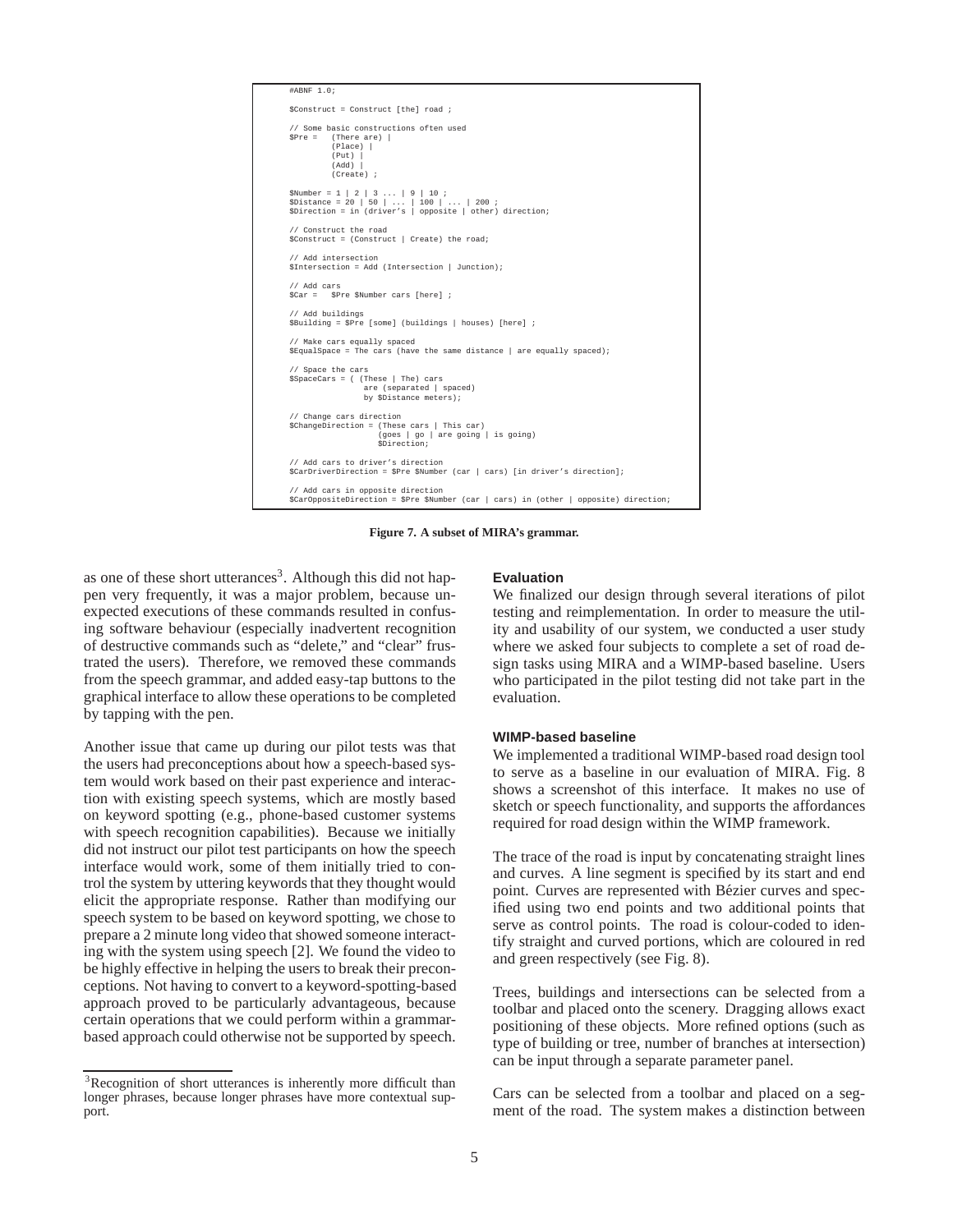

**Figure 7. A subset of MIRA's grammar.**

as one of these short utterances<sup>3</sup>. Although this did not happen very frequently, it was a major problem, because unexpected executions of these commands resulted in confusing software behaviour (especially inadvertent recognition of destructive commands such as "delete," and "clear" frustrated the users). Therefore, we removed these commands from the speech grammar, and added easy-tap buttons to the graphical interface to allow these operations to be completed by tapping with the pen.

Another issue that came up during our pilot tests was that the users had preconceptions about how a speech-based system would work based on their past experience and interaction with existing speech systems, which are mostly based on keyword spotting (e.g., phone-based customer systems with speech recognition capabilities). Because we initially did not instruct our pilot test participants on how the speech interface would work, some of them initially tried to control the system by uttering keywords that they thought would elicit the appropriate response. Rather than modifying our speech system to be based on keyword spotting, we chose to prepare a 2 minute long video that showed someone interacting with the system using speech [2]. We found the video to be highly effective in helping the users to break their preconceptions. Not having to convert to a keyword-spotting-based approach proved to be particularly advantageous, because certain operations that we could perform within a grammarbased approach could otherwise not be supported by speech.

# **Evaluation**

We finalized our design through several iterations of pilot testing and reimplementation. In order to measure the utility and usability of our system, we conducted a user study where we asked four subjects to complete a set of road design tasks using MIRA and a WIMP-based baseline. Users who participated in the pilot testing did not take part in the evaluation.

# **WIMP-based baseline**

We implemented a traditional WIMP-based road design tool to serve as a baseline in our evaluation of MIRA. Fig. 8 shows a screenshot of this interface. It makes no use of sketch or speech functionality, and supports the affordances required for road design within the WIMP framework.

The trace of the road is input by concatenating straight lines and curves. A line segment is specified by its start and end point. Curves are represented with Bézier curves and specified using two end points and two additional points that serve as control points. The road is colour-coded to identify straight and curved portions, which are coloured in red and green respectively (see Fig. 8).

Trees, buildings and intersections can be selected from a toolbar and placed onto the scenery. Dragging allows exact positioning of these objects. More refined options (such as type of building or tree, number of branches at intersection) can be input through a separate parameter panel.

Cars can be selected from a toolbar and placed on a segment of the road. The system makes a distinction between

<sup>&</sup>lt;sup>3</sup>Recognition of short utterances is inherently more difficult than longer phrases, because longer phrases have more contextual support.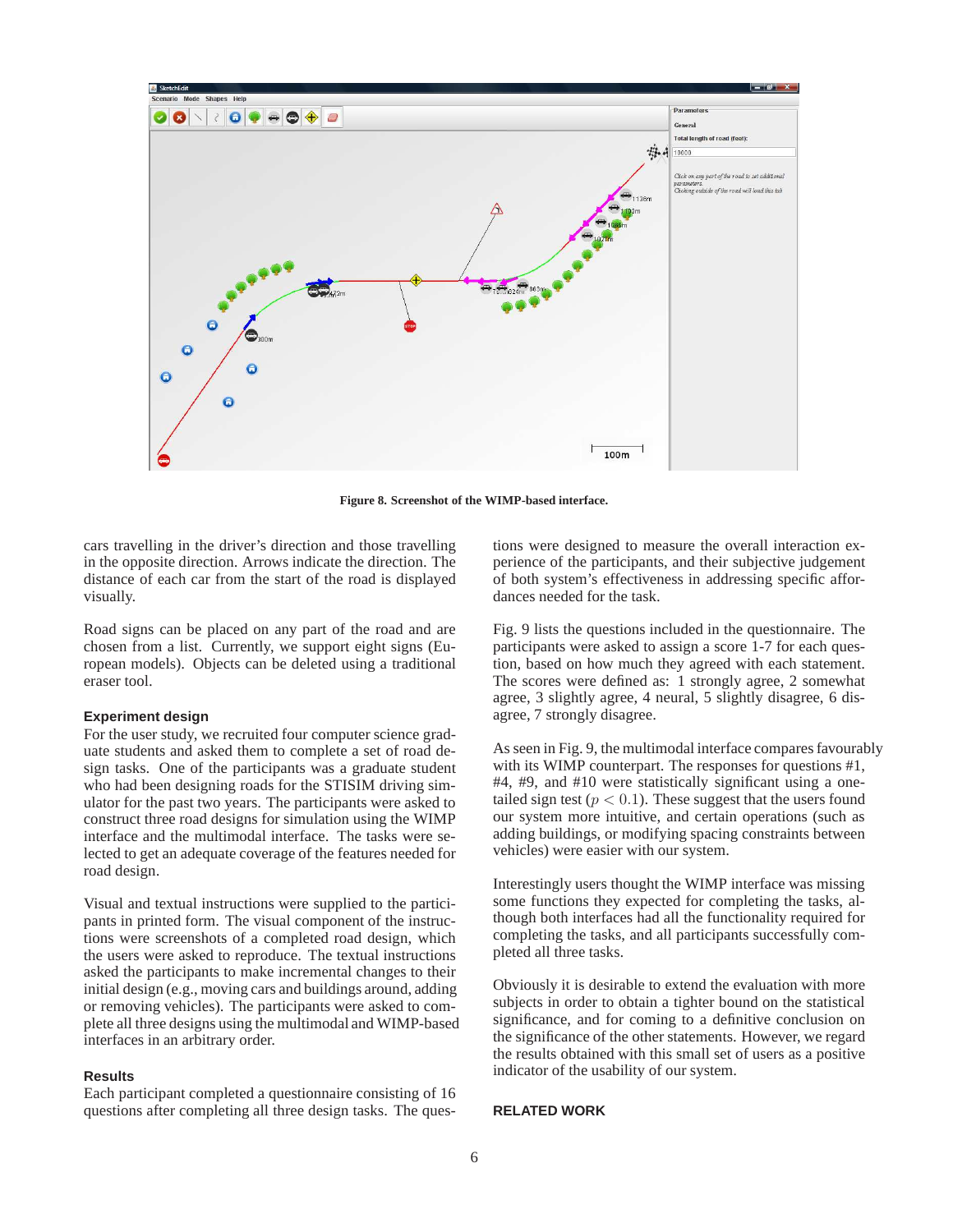

**Figure 8. Screenshot of the WIMP-based interface.**

cars travelling in the driver's direction and those travelling in the opposite direction. Arrows indicate the direction. The distance of each car from the start of the road is displayed visually.

Road signs can be placed on any part of the road and are chosen from a list. Currently, we support eight signs (European models). Objects can be deleted using a traditional eraser tool.

# **Experiment design**

For the user study, we recruited four computer science graduate students and asked them to complete a set of road design tasks. One of the participants was a graduate student who had been designing roads for the STISIM driving simulator for the past two years. The participants were asked to construct three road designs for simulation using the WIMP interface and the multimodal interface. The tasks were selected to get an adequate coverage of the features needed for road design.

Visual and textual instructions were supplied to the participants in printed form. The visual component of the instructions were screenshots of a completed road design, which the users were asked to reproduce. The textual instructions asked the participants to make incremental changes to their initial design (e.g., moving cars and buildings around, adding or removing vehicles). The participants were asked to complete all three designs using the multimodal and WIMP-based interfaces in an arbitrary order.

## **Results**

Each participant completed a questionnaire consisting of 16 questions after completing all three design tasks. The questions were designed to measure the overall interaction experience of the participants, and their subjective judgement of both system's effectiveness in addressing specific affordances needed for the task.

Fig. 9 lists the questions included in the questionnaire. The participants were asked to assign a score 1-7 for each question, based on how much they agreed with each statement. The scores were defined as: 1 strongly agree, 2 somewhat agree, 3 slightly agree, 4 neural, 5 slightly disagree, 6 disagree, 7 strongly disagree.

As seen in Fig. 9, the multimodal interface compares favourably with its WIMP counterpart. The responses for questions #1, #4, #9, and #10 were statistically significant using a onetailed sign test ( $p < 0.1$ ). These suggest that the users found our system more intuitive, and certain operations (such as adding buildings, or modifying spacing constraints between vehicles) were easier with our system.

Interestingly users thought the WIMP interface was missing some functions they expected for completing the tasks, although both interfaces had all the functionality required for completing the tasks, and all participants successfully completed all three tasks.

Obviously it is desirable to extend the evaluation with more subjects in order to obtain a tighter bound on the statistical significance, and for coming to a definitive conclusion on the significance of the other statements. However, we regard the results obtained with this small set of users as a positive indicator of the usability of our system.

#### **RELATED WORK**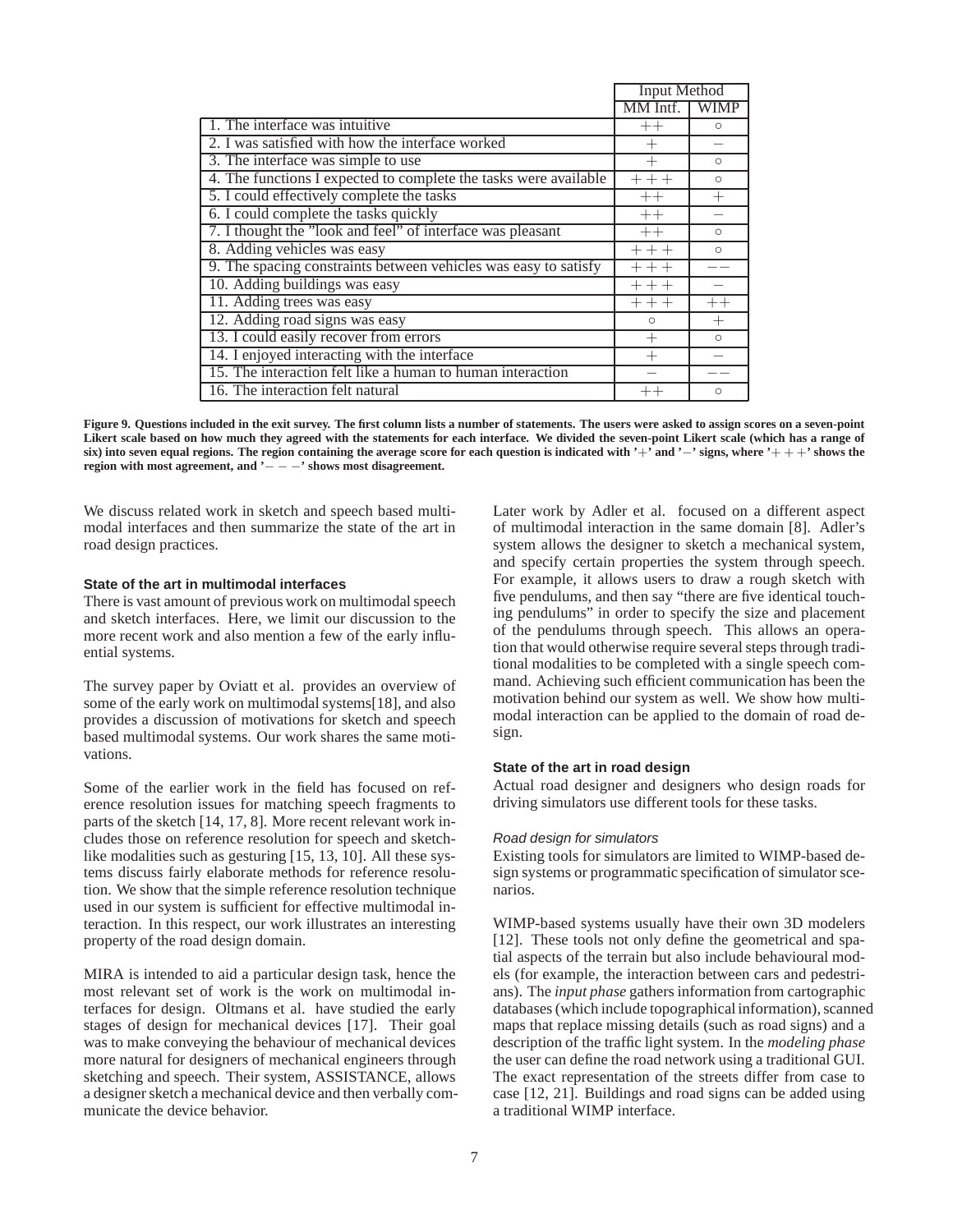|                                                                  | Input Method |          |
|------------------------------------------------------------------|--------------|----------|
|                                                                  | MM Intf.     | WIMP     |
| 1. The interface was intuitive                                   | $++$         | $\Omega$ |
| 2. I was satisfied with how the interface worked                 | $^+$         |          |
| 3. The interface was simple to use                               |              | $\Omega$ |
| 4. The functions I expected to complete the tasks were available | $+++$        | $\Omega$ |
| 5. I could effectively complete the tasks                        | $++$         | $^{+}$   |
| 6. I could complete the tasks quickly                            | $++$         |          |
| 7. I thought the "look and feel" of interface was pleasant       | $++$         | $\circ$  |
| 8. Adding vehicles was easy                                      | $+++$        | $\circ$  |
| 9. The spacing constraints between vehicles was easy to satisfy  | $++$         |          |
| 10. Adding buildings was easy                                    | $+++$        |          |
| 11. Adding trees was easy                                        | $++$         | $++$     |
| 12. Adding road signs was easy                                   | $\circ$      | $^{+}$   |
| 13. I could easily recover from errors                           |              | $\circ$  |
| 14. I enjoyed interacting with the interface                     |              |          |
| 15. The interaction felt like a human to human interaction       |              |          |
| 16. The interaction felt natural                                 | $^{++}$      | $\Omega$ |

**Figure 9. Questions included in the exit survey. The first column lists a number of statements. The users were asked to assign scores on a seven-point Likert scale based on how much they agreed with the statements for each interface. We divided the seven-point Likert scale (which has a range of six) into seven equal regions. The region containing the average score for each question is indicated with '**+**' and '**−**' signs, where '**+ + +**' shows the region with most agreement, and '**− − −**' shows most disagreement.**

We discuss related work in sketch and speech based multimodal interfaces and then summarize the state of the art in road design practices.

## **State of the art in multimodal interfaces**

There is vast amount of previous work on multimodal speech and sketch interfaces. Here, we limit our discussion to the more recent work and also mention a few of the early influential systems.

The survey paper by Oviatt et al. provides an overview of some of the early work on multimodal systems[18], and also provides a discussion of motivations for sketch and speech based multimodal systems. Our work shares the same motivations.

Some of the earlier work in the field has focused on reference resolution issues for matching speech fragments to parts of the sketch [14, 17, 8]. More recent relevant work includes those on reference resolution for speech and sketchlike modalities such as gesturing [15, 13, 10]. All these systems discuss fairly elaborate methods for reference resolution. We show that the simple reference resolution technique used in our system is sufficient for effective multimodal interaction. In this respect, our work illustrates an interesting property of the road design domain.

MIRA is intended to aid a particular design task, hence the most relevant set of work is the work on multimodal interfaces for design. Oltmans et al. have studied the early stages of design for mechanical devices [17]. Their goal was to make conveying the behaviour of mechanical devices more natural for designers of mechanical engineers through sketching and speech. Their system, ASSISTANCE, allows a designer sketch a mechanical device and then verbally communicate the device behavior.

Later work by Adler et al. focused on a different aspect of multimodal interaction in the same domain [8]. Adler's system allows the designer to sketch a mechanical system, and specify certain properties the system through speech. For example, it allows users to draw a rough sketch with five pendulums, and then say "there are five identical touching pendulums" in order to specify the size and placement of the pendulums through speech. This allows an operation that would otherwise require several steps through traditional modalities to be completed with a single speech command. Achieving such efficient communication has been the motivation behind our system as well. We show how multimodal interaction can be applied to the domain of road design.

## **State of the art in road design**

Actual road designer and designers who design roads for driving simulators use different tools for these tasks.

### Road design for simulators

Existing tools for simulators are limited to WIMP-based design systems or programmatic specification of simulator scenarios.

WIMP-based systems usually have their own 3D modelers [12]. These tools not only define the geometrical and spatial aspects of the terrain but also include behavioural models (for example, the interaction between cars and pedestrians). The *input phase* gathers information from cartographic databases (which include topographical information), scanned maps that replace missing details (such as road signs) and a description of the traffic light system. In the *modeling phase* the user can define the road network using a traditional GUI. The exact representation of the streets differ from case to case [12, 21]. Buildings and road signs can be added using a traditional WIMP interface.